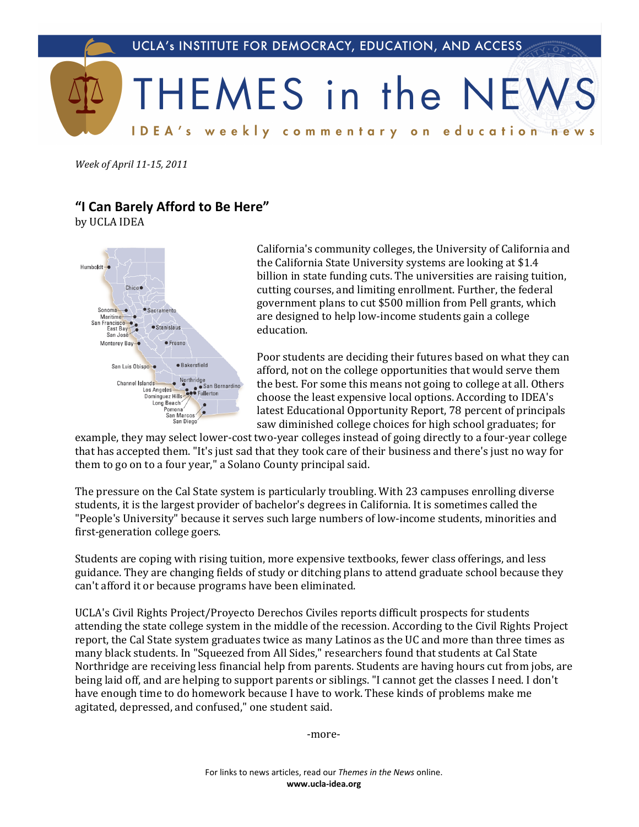

*Week of April 11-15, 2011* 

## **"I.Can.Barely.Afford.to.Be.Here"**

by UCLA IDEA



California's community colleges, the University of California and the California State University systems are looking at \$1.4 billion in state funding cuts. The universities are raising tuition, cutting courses, and limiting enrollment. Further, the federal government plans to cut \$500 million from Pell grants, which are designed to help low-income students gain a college education.

Poor students are deciding their futures based on what they can afford, not on the college opportunities that would serve them the best. For some this means not going to college at all. Others choose the least expensive local options. According to IDEA's latest Educational Opportunity Report, 78 percent of principals saw diminished college choices for high school graduates; for

example, they may select lower-cost two-year colleges instead of going directly to a four-year college that has accepted them. "It's just sad that they took care of their business and there's just no way for them to go on to a four year," a Solano County principal said.

The pressure on the Cal State system is particularly troubling. With 23 campuses enrolling diverse students, it is the largest provider of bachelor's degrees in California. It is sometimes called the "People's University" because it serves such large numbers of low-income students, minorities and first-generation college goers.

Students are coping with rising tuition, more expensive textbooks, fewer class offerings, and less guidance. They are changing fields of study or ditching plans to attend graduate school because they can't afford it or because programs have been eliminated.

UCLA's Civil Rights Project/Proyecto Derechos Civiles reports difficult prospects for students attending the state college system in the middle of the recession. According to the Civil Rights Project report, the Cal State system graduates twice as many Latinos as the UC and more than three times as many black students. In "Squeezed from All Sides," researchers found that students at Cal State Northridge are receiving less financial help from parents. Students are having hours cut from jobs, are being laid off, and are helping to support parents or siblings. "I cannot get the classes I need. I don't have enough time to do homework because I have to work. These kinds of problems make me agitated, depressed, and confused," one student said.

-more-